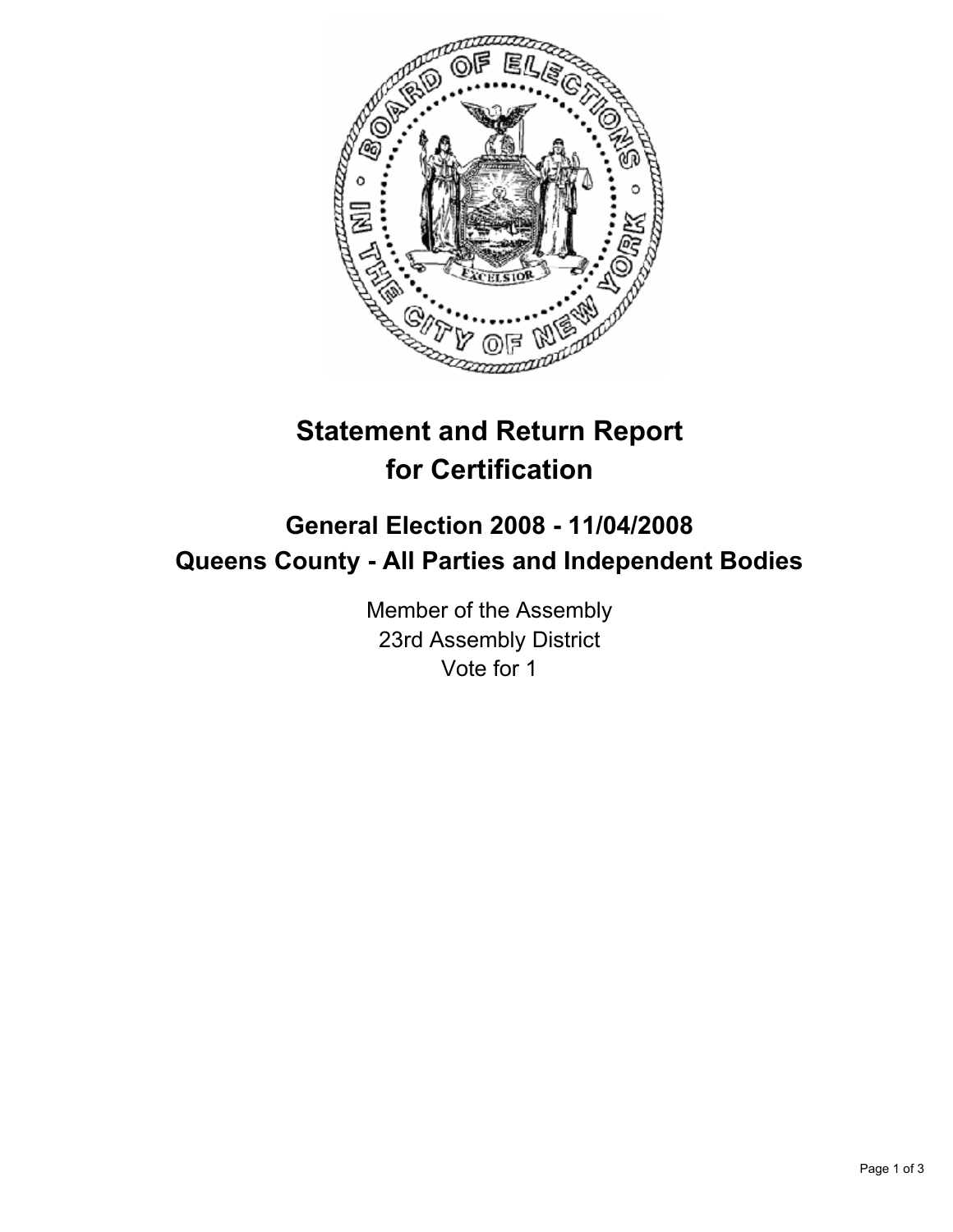

# **Statement and Return Report for Certification**

## **General Election 2008 - 11/04/2008 Queens County - All Parties and Independent Bodies**

Member of the Assembly 23rd Assembly District Vote for 1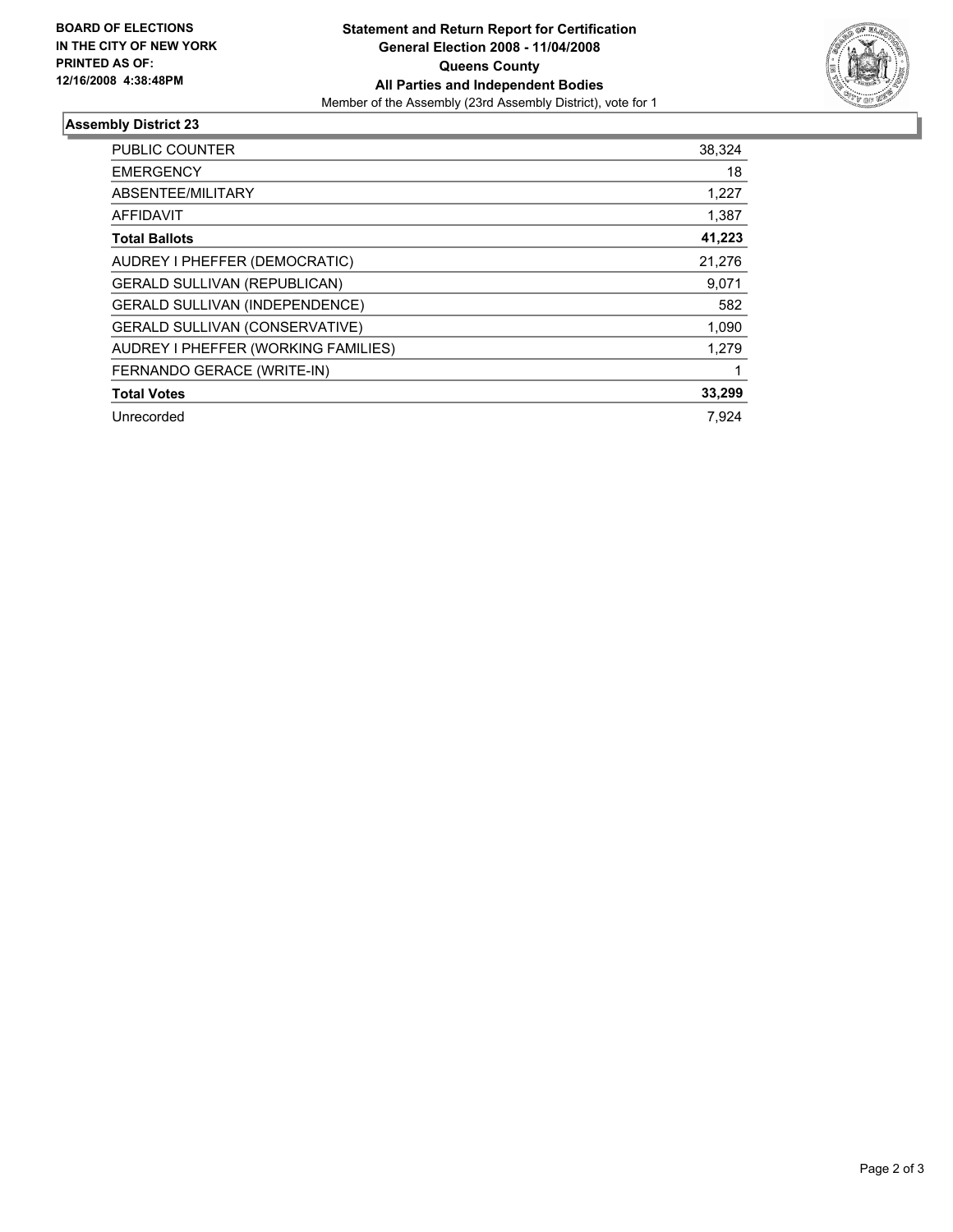

### **Assembly District 23**

| <b>PUBLIC COUNTER</b>                 | 38,324 |
|---------------------------------------|--------|
| <b>EMERGENCY</b>                      | 18     |
| ABSENTEE/MILITARY                     | 1,227  |
| <b>AFFIDAVIT</b>                      | 1,387  |
| <b>Total Ballots</b>                  | 41,223 |
| AUDREY I PHEFFER (DEMOCRATIC)         | 21,276 |
| <b>GERALD SULLIVAN (REPUBLICAN)</b>   | 9,071  |
| GERALD SULLIVAN (INDEPENDENCE)        | 582    |
| <b>GERALD SULLIVAN (CONSERVATIVE)</b> | 1,090  |
| AUDREY I PHEFFER (WORKING FAMILIES)   | 1,279  |
| FERNANDO GERACE (WRITE-IN)            |        |
| <b>Total Votes</b>                    | 33,299 |
| Unrecorded                            | 7.924  |